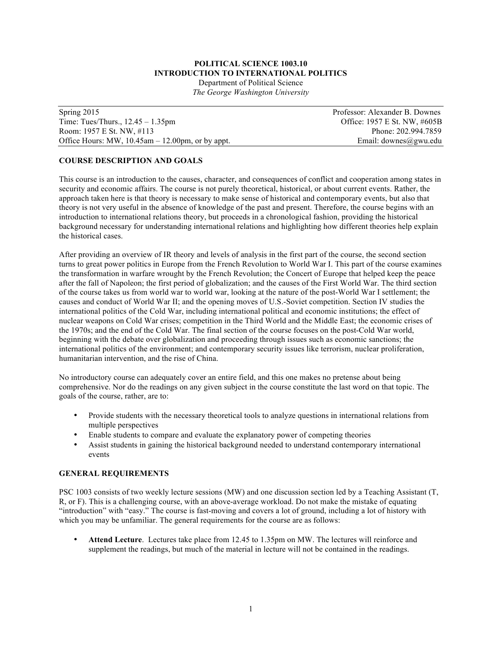## **POLITICAL SCIENCE 1003.10 INTRODUCTION TO INTERNATIONAL POLITICS**

Department of Political Science *The George Washington University*

| Spring $2015$                                          | Professor: Alexander B. Downes |
|--------------------------------------------------------|--------------------------------|
| Time: Tues/Thurs., $12.45 - 1.35$ pm                   | Office: 1957 E St. NW, #605B   |
| Room: 1957 E St. NW, #113                              | Phone: 202.994.7859            |
| Office Hours: MW, $10.45$ am $- 12.00$ pm, or by appt. | Email: downes@gwu.edu          |

## **COURSE DESCRIPTION AND GOALS**

This course is an introduction to the causes, character, and consequences of conflict and cooperation among states in security and economic affairs. The course is not purely theoretical, historical, or about current events. Rather, the approach taken here is that theory is necessary to make sense of historical and contemporary events, but also that theory is not very useful in the absence of knowledge of the past and present. Therefore, the course begins with an introduction to international relations theory, but proceeds in a chronological fashion, providing the historical background necessary for understanding international relations and highlighting how different theories help explain the historical cases.

After providing an overview of IR theory and levels of analysis in the first part of the course, the second section turns to great power politics in Europe from the French Revolution to World War I. This part of the course examines the transformation in warfare wrought by the French Revolution; the Concert of Europe that helped keep the peace after the fall of Napoleon; the first period of globalization; and the causes of the First World War. The third section of the course takes us from world war to world war, looking at the nature of the post-World War I settlement; the causes and conduct of World War II; and the opening moves of U.S.-Soviet competition. Section IV studies the international politics of the Cold War, including international political and economic institutions; the effect of nuclear weapons on Cold War crises; competition in the Third World and the Middle East; the economic crises of the 1970s; and the end of the Cold War. The final section of the course focuses on the post-Cold War world, beginning with the debate over globalization and proceeding through issues such as economic sanctions; the international politics of the environment; and contemporary security issues like terrorism, nuclear proliferation, humanitarian intervention, and the rise of China.

No introductory course can adequately cover an entire field, and this one makes no pretense about being comprehensive. Nor do the readings on any given subject in the course constitute the last word on that topic. The goals of the course, rather, are to:

- Provide students with the necessary theoretical tools to analyze questions in international relations from multiple perspectives
- Enable students to compare and evaluate the explanatory power of competing theories
- Assist students in gaining the historical background needed to understand contemporary international events

### **GENERAL REQUIREMENTS**

PSC 1003 consists of two weekly lecture sessions (MW) and one discussion section led by a Teaching Assistant (T, R, or F). This is a challenging course, with an above-average workload. Do not make the mistake of equating "introduction" with "easy." The course is fast-moving and covers a lot of ground, including a lot of history with which you may be unfamiliar. The general requirements for the course are as follows:

• **Attend Lecture**. Lectures take place from 12.45 to 1.35pm on MW. The lectures will reinforce and supplement the readings, but much of the material in lecture will not be contained in the readings.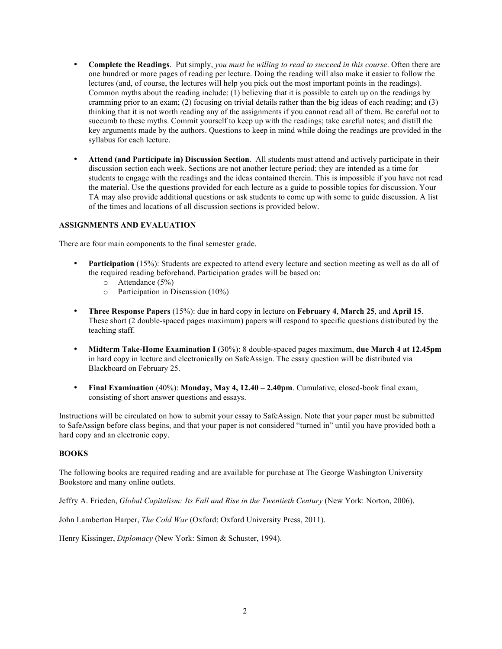- **Complete the Readings**. Put simply, *you must be willing to read to succeed in this course*. Often there are one hundred or more pages of reading per lecture. Doing the reading will also make it easier to follow the lectures (and, of course, the lectures will help you pick out the most important points in the readings). Common myths about the reading include: (1) believing that it is possible to catch up on the readings by cramming prior to an exam; (2) focusing on trivial details rather than the big ideas of each reading; and (3) thinking that it is not worth reading any of the assignments if you cannot read all of them. Be careful not to succumb to these myths. Commit yourself to keep up with the readings; take careful notes; and distill the key arguments made by the authors. Questions to keep in mind while doing the readings are provided in the syllabus for each lecture.
- **Attend (and Participate in) Discussion Section**. All students must attend and actively participate in their discussion section each week. Sections are not another lecture period; they are intended as a time for students to engage with the readings and the ideas contained therein. This is impossible if you have not read the material. Use the questions provided for each lecture as a guide to possible topics for discussion. Your TA may also provide additional questions or ask students to come up with some to guide discussion. A list of the times and locations of all discussion sections is provided below.

## **ASSIGNMENTS AND EVALUATION**

There are four main components to the final semester grade.

- **Participation** (15%): Students are expected to attend every lecture and section meeting as well as do all of the required reading beforehand. Participation grades will be based on:
	- o Attendance (5%)
	- o Participation in Discussion (10%)
- **Three Response Papers** (15%): due in hard copy in lecture on **February 4**, **March 25**, and **April 15**. These short (2 double-spaced pages maximum) papers will respond to specific questions distributed by the teaching staff.
- **Midterm Take-Home Examination I** (30%): 8 double-spaced pages maximum, **due March 4 at 12.45pm** in hard copy in lecture and electronically on SafeAssign. The essay question will be distributed via Blackboard on February 25.
- **Final Examination** (40%): **Monday, May 4, 12.40 – 2.40pm**. Cumulative, closed-book final exam, consisting of short answer questions and essays.

Instructions will be circulated on how to submit your essay to SafeAssign. Note that your paper must be submitted to SafeAssign before class begins, and that your paper is not considered "turned in" until you have provided both a hard copy and an electronic copy.

## **BOOKS**

The following books are required reading and are available for purchase at The George Washington University Bookstore and many online outlets.

Jeffry A. Frieden, *Global Capitalism: Its Fall and Rise in the Twentieth Century* (New York: Norton, 2006).

John Lamberton Harper, *The Cold War* (Oxford: Oxford University Press, 2011).

Henry Kissinger, *Diplomacy* (New York: Simon & Schuster, 1994).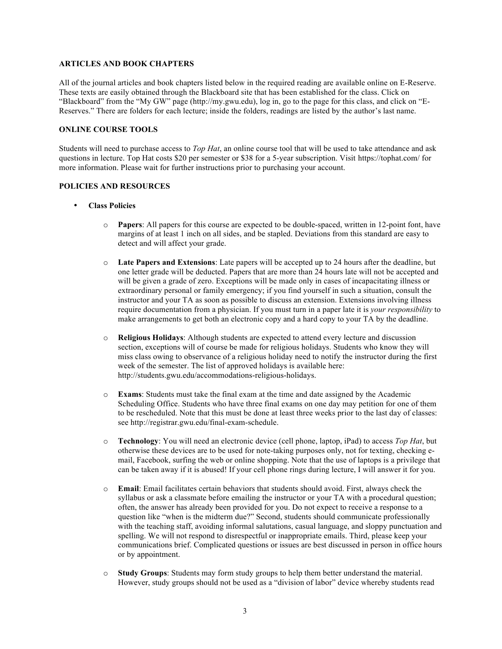## **ARTICLES AND BOOK CHAPTERS**

All of the journal articles and book chapters listed below in the required reading are available online on E-Reserve. These texts are easily obtained through the Blackboard site that has been established for the class. Click on "Blackboard" from the "My GW" page (http://my.gwu.edu), log in, go to the page for this class, and click on "E-Reserves." There are folders for each lecture; inside the folders, readings are listed by the author's last name.

## **ONLINE COURSE TOOLS**

Students will need to purchase access to *Top Hat*, an online course tool that will be used to take attendance and ask questions in lecture. Top Hat costs \$20 per semester or \$38 for a 5-year subscription. Visit https://tophat.com/ for more information. Please wait for further instructions prior to purchasing your account.

## **POLICIES AND RESOURCES**

- **Class Policies**
	- o **Papers**: All papers for this course are expected to be double-spaced, written in 12-point font, have margins of at least 1 inch on all sides, and be stapled. Deviations from this standard are easy to detect and will affect your grade.
	- o **Late Papers and Extensions**: Late papers will be accepted up to 24 hours after the deadline, but one letter grade will be deducted. Papers that are more than 24 hours late will not be accepted and will be given a grade of zero. Exceptions will be made only in cases of incapacitating illness or extraordinary personal or family emergency; if you find yourself in such a situation, consult the instructor and your TA as soon as possible to discuss an extension. Extensions involving illness require documentation from a physician. If you must turn in a paper late it is *your responsibility* to make arrangements to get both an electronic copy and a hard copy to your TA by the deadline.
	- o **Religious Holidays**: Although students are expected to attend every lecture and discussion section, exceptions will of course be made for religious holidays. Students who know they will miss class owing to observance of a religious holiday need to notify the instructor during the first week of the semester. The list of approved holidays is available here: http://students.gwu.edu/accommodations-religious-holidays.
	- o **Exams**: Students must take the final exam at the time and date assigned by the Academic Scheduling Office. Students who have three final exams on one day may petition for one of them to be rescheduled. Note that this must be done at least three weeks prior to the last day of classes: see http://registrar.gwu.edu/final-exam-schedule.
	- o **Technology**: You will need an electronic device (cell phone, laptop, iPad) to access *Top Hat*, but otherwise these devices are to be used for note-taking purposes only, not for texting, checking email, Facebook, surfing the web or online shopping. Note that the use of laptops is a privilege that can be taken away if it is abused! If your cell phone rings during lecture, I will answer it for you.
	- o **Email**: Email facilitates certain behaviors that students should avoid. First, always check the syllabus or ask a classmate before emailing the instructor or your TA with a procedural question; often, the answer has already been provided for you. Do not expect to receive a response to a question like "when is the midterm due?" Second, students should communicate professionally with the teaching staff, avoiding informal salutations, casual language, and sloppy punctuation and spelling. We will not respond to disrespectful or inappropriate emails. Third, please keep your communications brief. Complicated questions or issues are best discussed in person in office hours or by appointment.
	- o **Study Groups**: Students may form study groups to help them better understand the material. However, study groups should not be used as a "division of labor" device whereby students read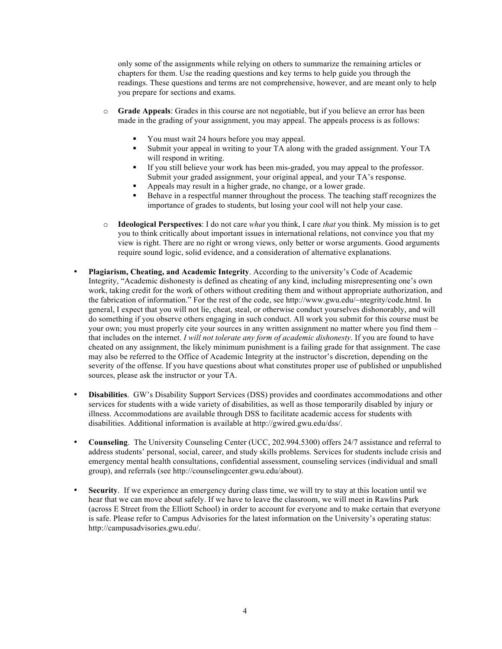only some of the assignments while relying on others to summarize the remaining articles or chapters for them. Use the reading questions and key terms to help guide you through the readings. These questions and terms are not comprehensive, however, and are meant only to help you prepare for sections and exams.

- o **Grade Appeals**: Grades in this course are not negotiable, but if you believe an error has been made in the grading of your assignment, you may appeal. The appeals process is as follows:
	- § You must wait 24 hours before you may appeal.
	- § Submit your appeal in writing to your TA along with the graded assignment. Your TA will respond in writing.
	- **•** If you still believe your work has been mis-graded, you may appeal to the professor. Submit your graded assignment, your original appeal, and your TA's response.
	- § Appeals may result in a higher grade, no change, or a lower grade.
	- § Behave in a respectful manner throughout the process. The teaching staff recognizes the importance of grades to students, but losing your cool will not help your case.
- o **Ideological Perspectives**: I do not care *what* you think, I care *that* you think. My mission is to get you to think critically about important issues in international relations, not convince you that my view is right. There are no right or wrong views, only better or worse arguments. Good arguments require sound logic, solid evidence, and a consideration of alternative explanations.
- **Plagiarism, Cheating, and Academic Integrity**. According to the university's Code of Academic Integrity, "Academic dishonesty is defined as cheating of any kind, including misrepresenting one's own work, taking credit for the work of others without crediting them and without appropriate authorization, and the fabrication of information." For the rest of the code, see http://www.gwu.edu/~ntegrity/code.html. In general, I expect that you will not lie, cheat, steal, or otherwise conduct yourselves dishonorably, and will do something if you observe others engaging in such conduct. All work you submit for this course must be your own; you must properly cite your sources in any written assignment no matter where you find them – that includes on the internet. *I will not tolerate any form of academic dishonesty*. If you are found to have cheated on any assignment, the likely minimum punishment is a failing grade for that assignment. The case may also be referred to the Office of Academic Integrity at the instructor's discretion, depending on the severity of the offense. If you have questions about what constitutes proper use of published or unpublished sources, please ask the instructor or your TA.
- **Disabilities**. GW's Disability Support Services (DSS) provides and coordinates accommodations and other services for students with a wide variety of disabilities, as well as those temporarily disabled by injury or illness. Accommodations are available through DSS to facilitate academic access for students with disabilities. Additional information is available at http://gwired.gwu.edu/dss/.
- **Counseling**. The University Counseling Center (UCC, 202.994.5300) offers 24/7 assistance and referral to address students' personal, social, career, and study skills problems. Services for students include crisis and emergency mental health consultations, confidential assessment, counseling services (individual and small group), and referrals (see http://counselingcenter.gwu.edu/about).
- **Security**. If we experience an emergency during class time, we will try to stay at this location until we hear that we can move about safely. If we have to leave the classroom, we will meet in Rawlins Park (across E Street from the Elliott School) in order to account for everyone and to make certain that everyone is safe. Please refer to Campus Advisories for the latest information on the University's operating status: http://campusadvisories.gwu.edu/.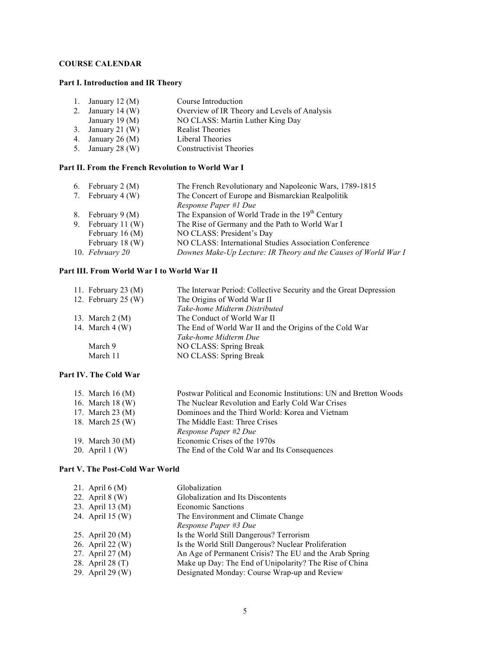# **COURSE CALENDAR**

## **Part I. Introduction and IR Theory**

| 1. January 12 $(M)$ | Course Introduction                          |
|---------------------|----------------------------------------------|
| 2. January 14 (W)   | Overview of IR Theory and Levels of Analysis |
| January 19 $(M)$    | NO CLASS: Martin Luther King Day             |
| 3. January 21 $(W)$ | <b>Realist Theories</b>                      |
| 4. January 26 $(M)$ | Liberal Theories                             |
| 5. January 28 $(W)$ | <b>Constructivist Theories</b>               |
|                     |                                              |

# **Part II. From the French Revolution to World War I**

| The French Revolutionary and Napoleonic Wars, 1789-1815         |
|-----------------------------------------------------------------|
|                                                                 |
|                                                                 |
|                                                                 |
|                                                                 |
|                                                                 |
|                                                                 |
| Downes Make-Up Lecture: IR Theory and the Causes of World War I |
|                                                                 |

# **Part III. From World War I to World War II**

| 11. February 23 $(M)$    | The Interwar Period: Collective Security and the Great Depression |
|--------------------------|-------------------------------------------------------------------|
| 12. February $25 \, (W)$ | The Origins of World War II                                       |
|                          | Take-home Midterm Distributed                                     |
| 13. March 2 (M)          | The Conduct of World War II                                       |
| 14. March 4 (W)          | The End of World War II and the Origins of the Cold War           |
|                          | Take-home Midterm Due                                             |
| March 9                  | NO CLASS: Spring Break                                            |
| March 11                 | NO CLASS: Spring Break                                            |
|                          |                                                                   |

# **Part IV. The Cold War**

| Postwar Political and Economic Institutions: UN and Bretton Woods<br>15. March 16 (M) |  |
|---------------------------------------------------------------------------------------|--|
| 16. March 18 (W)<br>The Nuclear Revolution and Early Cold War Crises                  |  |
| 17. March 23 (M)<br>Dominoes and the Third World: Korea and Vietnam                   |  |
| 18. March 25 (W)<br>The Middle East: Three Crises                                     |  |
| Response Paper #2 Due                                                                 |  |
| Economic Crises of the 1970s<br>19. March 30 (M)                                      |  |
| 20. April $1(W)$<br>The End of the Cold War and Its Consequences                      |  |

## **Part V. The Post-Cold War World**

| 21. April $6(M)$ | Globalization                                          |
|------------------|--------------------------------------------------------|
| 22. April 8 (W)  | Globalization and Its Discontents                      |
| 23. April 13 (M) | <b>Economic Sanctions</b>                              |
| 24. April 15 (W) | The Environment and Climate Change                     |
|                  | Response Paper #3 Due                                  |
| 25. April 20 (M) | Is the World Still Dangerous? Terrorism                |
| 26. April 22 (W) | Is the World Still Dangerous? Nuclear Proliferation    |
| 27. April 27 (M) | An Age of Permanent Crisis? The EU and the Arab Spring |
| 28. April 28 (T) | Make up Day: The End of Unipolarity? The Rise of China |
| 29. April 29 (W) | Designated Monday: Course Wrap-up and Review           |
|                  |                                                        |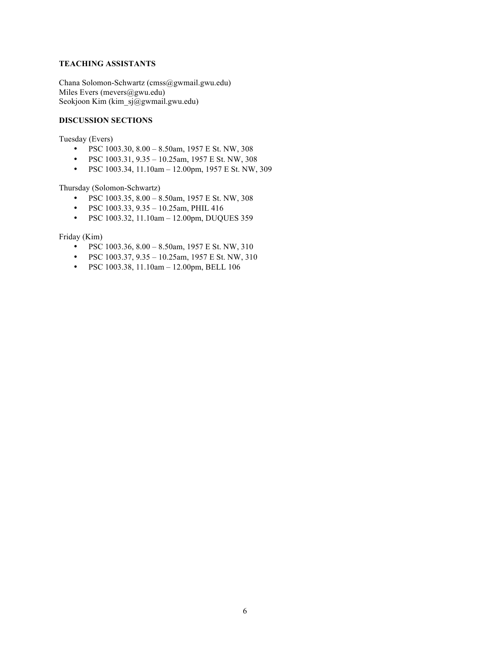# **TEACHING ASSISTANTS**

Chana Solomon-Schwartz (cmss@gwmail.gwu.edu) Miles Evers (mevers@gwu.edu) Seokjoon Kim (kim\_sj@gwmail.gwu.edu)

## **DISCUSSION SECTIONS**

Tuesday (Evers)

- PSC 1003.30, 8.00 8.50am, 1957 E St. NW, 308
- PSC  $1003.31, 9.35 10.25$ am,  $1957 \text{ E }$  St. NW,  $308$
- PSC 1003.34, 11.10am 12.00pm, 1957 E St. NW, 309

Thursday (Solomon-Schwartz)

- PSC 1003.35, 8.00 8.50am, 1957 E St. NW, 308
- PSC 1003.33, 9.35 10.25am, PHIL 416
- PSC 1003.32, 11.10am 12.00pm, DUQUES 359

Friday (Kim)

- PSC 1003.36,  $8.00 8.50$ am,  $1957 \text{ E}$  St. NW,  $310$ <br>• PSC 1003.37,  $9.35 10.25$ am,  $1957 \text{ E}$  St. NW,  $310$
- PSC 1003.37, 9.35 10.25am, 1957 E St. NW, 310
- PSC 1003.38, 11.10am 12.00pm, BELL 106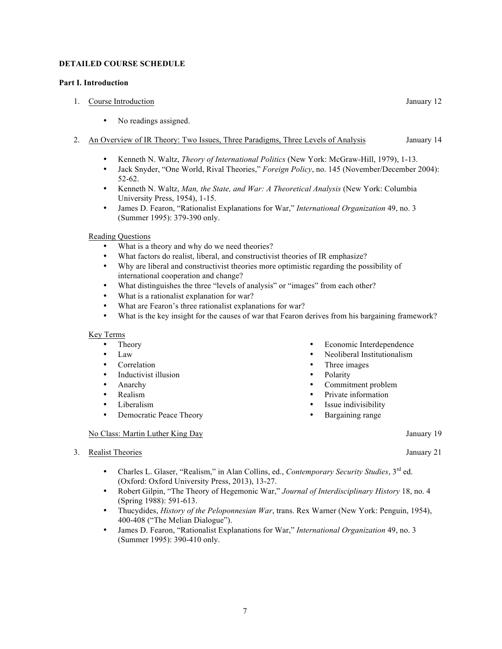## **DETAILED COURSE SCHEDULE**

## **Part I. Introduction**

- 1. Course Introduction January 12
	- No readings assigned.
- 2. An Overview of IR Theory: Two Issues, Three Paradigms, Three Levels of Analysis January 14
	- Kenneth N. Waltz, *Theory of International Politics* (New York: McGraw-Hill, 1979), 1-13.
	- Jack Snyder, "One World, Rival Theories," *Foreign Policy*, no. 145 (November/December 2004): 52-62.
	- Kenneth N. Waltz, *Man, the State, and War: A Theoretical Analysis* (New York: Columbia University Press, 1954), 1-15.
	- James D. Fearon, "Rationalist Explanations for War," *International Organization* 49, no. 3 (Summer 1995): 379-390 only.

## Reading Questions

- What is a theory and why do we need theories?
- What factors do realist, liberal, and constructivist theories of IR emphasize?
- Why are liberal and constructivist theories more optimistic regarding the possibility of international cooperation and change?
- What distinguishes the three "levels of analysis" or "images" from each other?
- What is a rationalist explanation for war?
- What are Fearon's three rationalist explanations for war?<br>• What is the key insight for the causes of war that Fearon.
- What is the key insight for the causes of war that Fearon derives from his bargaining framework?

### Key Terms

- Theory
- Law
- Correlation
- Inductivist illusion
- Anarchy
- Realism
- Liberalism
- Democratic Peace Theory

### No Class: Martin Luther King Day January 19

3. Realist Theories January 21

- Economic Interdependence
- Neoliberal Institutionalism
- Three images
- **Polarity**
- Commitment problem
- Private information
- Issue indivisibility
- Bargaining range

- Charles L. Glaser, "Realism," in Alan Collins, ed., *Contemporary Security Studies*, 3rd ed. (Oxford: Oxford University Press, 2013), 13-27.
- Robert Gilpin, "The Theory of Hegemonic War," *Journal of Interdisciplinary History* 18, no. 4 (Spring 1988): 591-613.
- Thucydides, *History of the Peloponnesian War*, trans. Rex Warner (New York: Penguin, 1954), 400-408 ("The Melian Dialogue").
- James D. Fearon, "Rationalist Explanations for War," *International Organization* 49, no. 3 (Summer 1995): 390-410 only.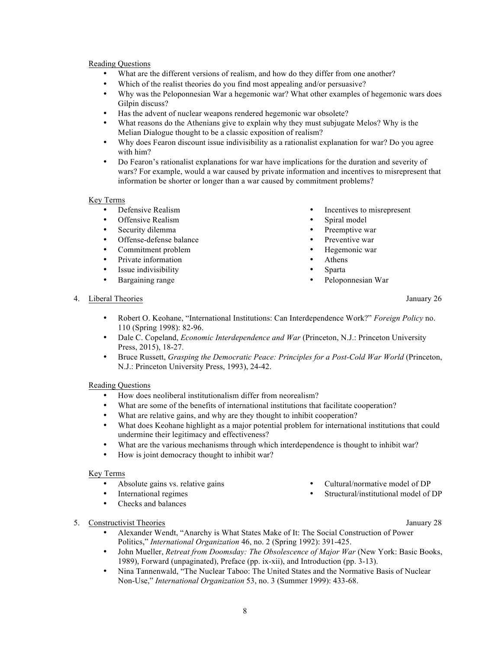- What are the different versions of realism, and how do they differ from one another?
- Which of the realist theories do you find most appealing and/or persuasive?
- Why was the Peloponnesian War a hegemonic war? What other examples of hegemonic wars does Gilpin discuss?
- Has the advent of nuclear weapons rendered hegemonic war obsolete?
- What reasons do the Athenians give to explain why they must subjugate Melos? Why is the Melian Dialogue thought to be a classic exposition of realism?
- Why does Fearon discount issue indivisibility as a rationalist explanation for war? Do you agree with him?
- Do Fearon's rationalist explanations for war have implications for the duration and severity of wars? For example, would a war caused by private information and incentives to misrepresent that information be shorter or longer than a war caused by commitment problems?

## Key Terms

- Defensive Realism
- Offensive Realism<br>• Security dilemma
- Security dilemma
- Offense-defense balance
- Commitment problem
- Private information
- Issue indivisibility
- Bargaining range
- Incentives to misrepresent
- Spiral model
- Preemptive war
- Preventive war
- Hegemonic war
- Athens
- Sparta
- Peloponnesian War

### 4. Liberal Theories January 26

- Robert O. Keohane, "International Institutions: Can Interdependence Work?" *Foreign Policy* no. 110 (Spring 1998): 82-96.
- Dale C. Copeland, *Economic Interdependence and War* (Princeton, N.J.: Princeton University Press, 2015), 18-27.
- Bruce Russett, *Grasping the Democratic Peace: Principles for a Post-Cold War World* (Princeton, N.J.: Princeton University Press, 1993), 24-42.

## Reading Questions

- How does neoliberal institutionalism differ from neorealism?
- What are some of the benefits of international institutions that facilitate cooperation?
- What are relative gains, and why are they thought to inhibit cooperation?
- What does Keohane highlight as a major potential problem for international institutions that could undermine their legitimacy and effectiveness?
- What are the various mechanisms through which interdependence is thought to inhibit war?
- How is joint democracy thought to inhibit war?

## Key Terms

- Absolute gains vs. relative gains
- International regimes
- Checks and balances

## 5. Constructivist Theories January 28

- Alexander Wendt, "Anarchy is What States Make of It: The Social Construction of Power Politics," *International Organization* 46, no. 2 (Spring 1992): 391-425.
- John Mueller, *Retreat from Doomsday: The Obsolescence of Major War* (New York: Basic Books, 1989), Forward (unpaginated), Preface (pp. ix-xii), and Introduction (pp. 3-13).
- Nina Tannenwald, "The Nuclear Taboo: The United States and the Normative Basis of Nuclear Non-Use," *International Organization* 53, no. 3 (Summer 1999): 433-68.

• Cultural/normative model of DP • Structural/institutional model of DP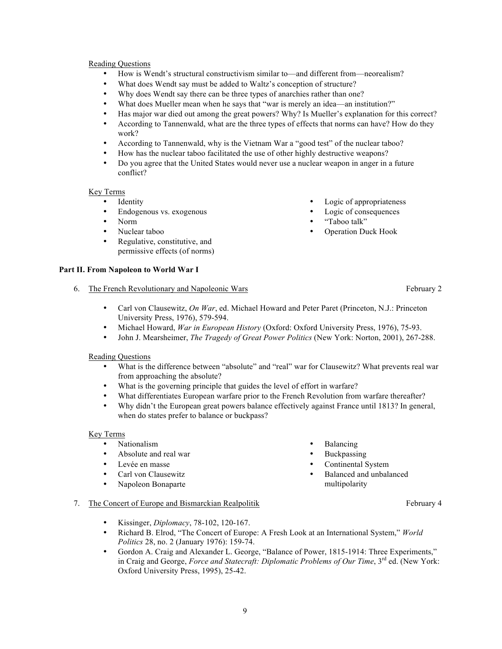- How is Wendt's structural constructivism similar to—and different from—neorealism?
- What does Wendt say must be added to Waltz's conception of structure?
- Why does Wendt say there can be three types of anarchies rather than one?<br>• What does Mueller mean when he says that "war is merely an idea an inst
- What does Mueller mean when he says that "war is merely an idea—an institution?"
- Has major war died out among the great powers? Why? Is Mueller's explanation for this correct?
- According to Tannenwald, what are the three types of effects that norms can have? How do they work?
- According to Tannenwald, why is the Vietnam War a "good test" of the nuclear taboo?
- How has the nuclear taboo facilitated the use of other highly destructive weapons?
- Do you agree that the United States would never use a nuclear weapon in anger in a future conflict?

## Key Terms

- Identity
- Endogenous vs. exogenous
- Norm
- Nuclear taboo
- Regulative, constitutive, and permissive effects (of norms)

## **Part II. From Napoleon to World War I**

## 6. The French Revolutionary and Napoleonic Wars February 2

- Carl von Clausewitz, *On War*, ed. Michael Howard and Peter Paret (Princeton, N.J.: Princeton University Press, 1976), 579-594.
- Michael Howard, *War in European History* (Oxford: Oxford University Press, 1976), 75-93.
- John J. Mearsheimer, *The Tragedy of Great Power Politics* (New York: Norton, 2001), 267-288.

## Reading Questions

- What is the difference between "absolute" and "real" war for Clausewitz? What prevents real war from approaching the absolute?
- What is the governing principle that guides the level of effort in warfare?
- What differentiates European warfare prior to the French Revolution from warfare thereafter?
- Why didn't the European great powers balance effectively against France until 1813? In general, when do states prefer to balance or buckpass?

## Key Terms

- Nationalism
- Absolute and real war<br>• Levée en masse
- Levée en masse
- Carl von Clausewitz
- Napoleon Bonaparte
- Balancing
- **Buckpassing**
- Continental System
- Balanced and unbalanced multipolarity

## 7. The Concert of Europe and Bismarckian Realpolitik February 4

- Kissinger, *Diplomacy*, 78-102, 120-167.
- Richard B. Elrod, "The Concert of Europe: A Fresh Look at an International System," *World Politics* 28, no. 2 (January 1976): 159-74.
- Gordon A. Craig and Alexander L. George, "Balance of Power, 1815-1914: Three Experiments," in Craig and George, *Force and Statecraft: Diplomatic Problems of Our Time*, 3<sup>rd</sup> ed. (New York: Oxford University Press, 1995), 25-42.

• Operation Duck Hook

• "Taboo talk"

Logic of appropriateness Logic of consequences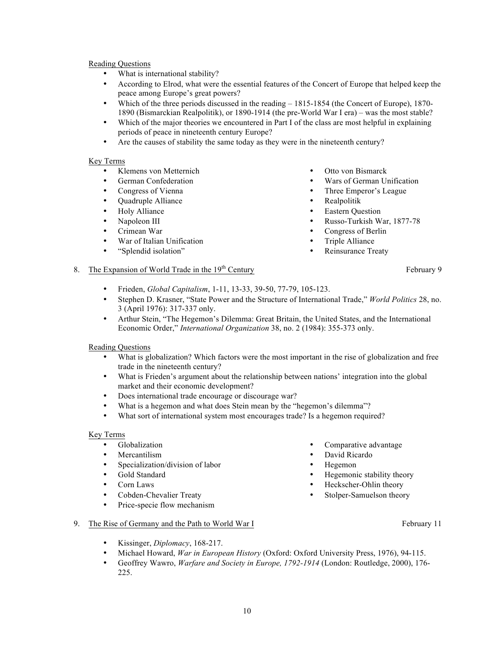- What is international stability?
- According to Elrod, what were the essential features of the Concert of Europe that helped keep the peace among Europe's great powers?
- Which of the three periods discussed in the reading 1815-1854 (the Concert of Europe), 1870- 1890 (Bismarckian Realpolitik), or 1890-1914 (the pre-World War I era) – was the most stable?
- Which of the major theories we encountered in Part I of the class are most helpful in explaining periods of peace in nineteenth century Europe?
- Are the causes of stability the same today as they were in the nineteenth century?

## Key Terms

- Klemens von Metternich
- German Confederation
- Congress of Vienna
- Quadruple Alliance
- Holy Alliance
- Napoleon III
- Crimean War
- War of Italian Unification
- "Splendid isolation"
- Otto von Bismarck
- Wars of German Unification
- Three Emperor's League
- Realpolitik
- **Eastern Question**
- Russo-Turkish War, 1877-78
- Congress of Berlin
- Triple Alliance
- Reinsurance Treaty

# 8. The Expansion of World Trade in the 19<sup>th</sup> Century February 9

- Frieden, *Global Capitalism*, 1-11, 13-33, 39-50, 77-79, 105-123.
- Stephen D. Krasner, "State Power and the Structure of International Trade," *World Politics* 28, no. 3 (April 1976): 317-337 only.
- Arthur Stein, "The Hegemon's Dilemma: Great Britain, the United States, and the International Economic Order," *International Organization* 38, no. 2 (1984): 355-373 only.

### Reading Questions

- What is globalization? Which factors were the most important in the rise of globalization and free trade in the nineteenth century?
- What is Frieden's argument about the relationship between nations' integration into the global market and their economic development?
- Does international trade encourage or discourage war?
- What is a hegemon and what does Stein mean by the "hegemon's dilemma"?
- What sort of international system most encourages trade? Is a hegemon required?

### Key Terms

- Globalization
- Mercantilism
- Specialization/division of labor
- Gold Standard
- Corn Laws
- Cobden-Chevalier Treaty
- Price-specie flow mechanism
- David Ricardo
	- Hegemon
- Hegemonic stability theory

Comparative advantage

- Heckscher-Ohlin theory
- Stolper-Samuelson theory
- 9. The Rise of Germany and the Path to World War I February 11
	-

- Kissinger, *Diplomacy*, 168-217.
- Michael Howard, *War in European History* (Oxford: Oxford University Press, 1976), 94-115.
- Geoffrey Wawro, *Warfare and Society in Europe, 1792-1914* (London: Routledge, 2000), 176- 225.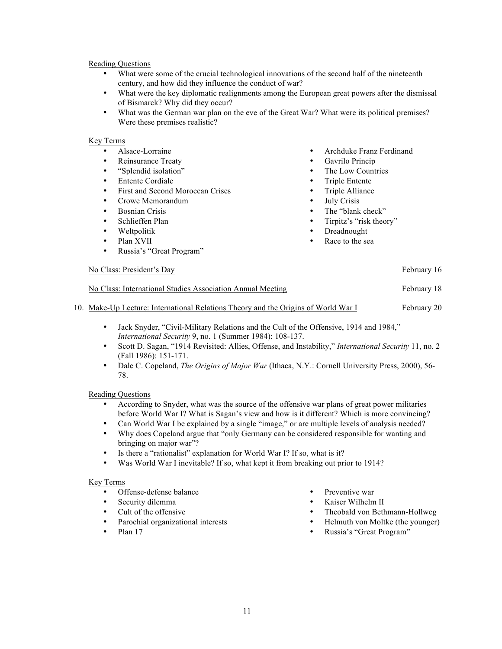- What were some of the crucial technological innovations of the second half of the nineteenth century, and how did they influence the conduct of war?
- What were the key diplomatic realignments among the European great powers after the dismissal of Bismarck? Why did they occur?
- What was the German war plan on the eve of the Great War? What were its political premises? Were these premises realistic?

### Key Terms

- Alsace-Lorraine
- Reinsurance Treaty
- "Splendid isolation"
- Entente Cordiale
- First and Second Moroccan Crises
- Crowe Memorandum
- Bosnian Crisis
- Schlieffen Plan
- Weltpolitik
- Plan XVII
- Russia's "Great Program"

### No Class: President's Day February 16

- Archduke Franz Ferdinand
- Gavrilo Princip
- The Low Countries
- Triple Entente
- Triple Alliance
- **July Crisis**
- The "blank check"
- Tirpitz's "risk theory"
- Dreadnought
- Race to the sea
- No Class: International Studies Association Annual Meeting February 18
- 10. Make-Up Lecture: International Relations Theory and the Origins of World War I February 20
	- Jack Snyder, "Civil-Military Relations and the Cult of the Offensive, 1914 and 1984," *International Security* 9, no. 1 (Summer 1984): 108-137.
	- Scott D. Sagan, "1914 Revisited: Allies, Offense, and Instability," *International Security* 11, no. 2 (Fall 1986): 151-171.
	- Dale C. Copeland, *The Origins of Major War* (Ithaca, N.Y.: Cornell University Press, 2000), 56- 78.

### Reading Questions

- According to Snyder, what was the source of the offensive war plans of great power militaries before World War I? What is Sagan's view and how is it different? Which is more convincing?
- Can World War I be explained by a single "image," or are multiple levels of analysis needed?
- Why does Copeland argue that "only Germany can be considered responsible for wanting and bringing on major war"?
- Is there a "rationalist" explanation for World War I? If so, what is it?
- Was World War I inevitable? If so, what kept it from breaking out prior to 1914?

- Offense-defense balance
- Security dilemma
- Cult of the offensive
- Parochial organizational interests
- Plan 17
- Preventive war
- Kaiser Wilhelm II
- Theobald von Bethmann-Hollweg
- Helmuth von Moltke (the younger)
- Russia's "Great Program"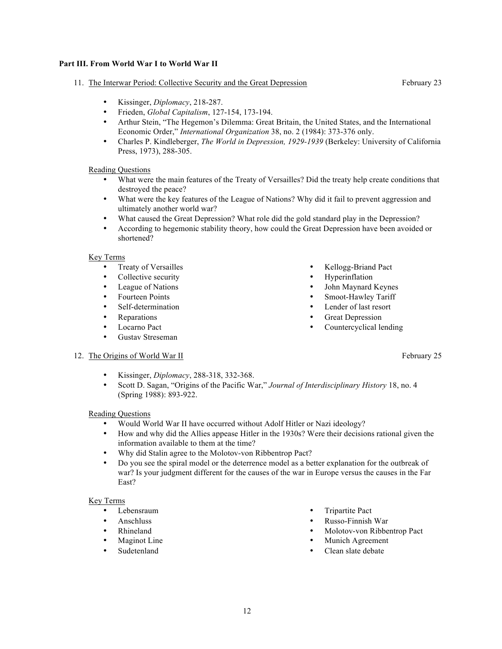# **Part III. From World War I to World War II**

# 11. The Interwar Period: Collective Security and the Great Depression February 23

- Kissinger, *Diplomacy*, 218-287.
- 
- Frieden, *Global Capitalism*, 127-154, 173-194.<br>• Arthur Stein. "The Hegemon's Dilemma: Great • Arthur Stein, "The Hegemon's Dilemma: Great Britain, the United States, and the International Economic Order," *International Organization* 38, no. 2 (1984): 373-376 only.
- Charles P. Kindleberger, *The World in Depression, 1929-1939* (Berkeley: University of California Press, 1973), 288-305.

# Reading Questions

- What were the main features of the Treaty of Versailles? Did the treaty help create conditions that destroyed the peace?
- What were the key features of the League of Nations? Why did it fail to prevent aggression and ultimately another world war?
- What caused the Great Depression? What role did the gold standard play in the Depression?<br>• According to beganning stability theory, how could the Great Depression have been avoided
- According to hegemonic stability theory, how could the Great Depression have been avoided or shortened?

## Key Terms

- Treaty of Versailles
- Collective security
- League of Nations
- Fourteen Points
- Self-determination
- Reparations
- Locarno Pact
- Gustav Streseman
- Kellogg-Briand Pact
- **Hyperinflation**
- John Maynard Keynes
- Smoot-Hawley Tariff
- Lender of last resort
- Great Depression
- Countercyclical lending

## 12. The Origins of World War II February 25

- Kissinger, *Diplomacy*, 288-318, 332-368.
- Scott D. Sagan, "Origins of the Pacific War," *Journal of Interdisciplinary History* 18, no. 4 (Spring 1988): 893-922.

## Reading Questions

- Would World War II have occurred without Adolf Hitler or Nazi ideology?
- How and why did the Allies appease Hitler in the 1930s? Were their decisions rational given the information available to them at the time?
- Why did Stalin agree to the Molotov-von Ribbentrop Pact?
- Do you see the spiral model or the deterrence model as a better explanation for the outbreak of war? Is your judgment different for the causes of the war in Europe versus the causes in the Far East?

- Lebensraum
- Anschluss
- Rhineland<br>• Maginet I
- Maginot Line
- Sudetenland
- Tripartite Pact
- Russo-Finnish War
- Molotov-von Ribbentrop Pact
- Munich Agreement
- Clean slate debate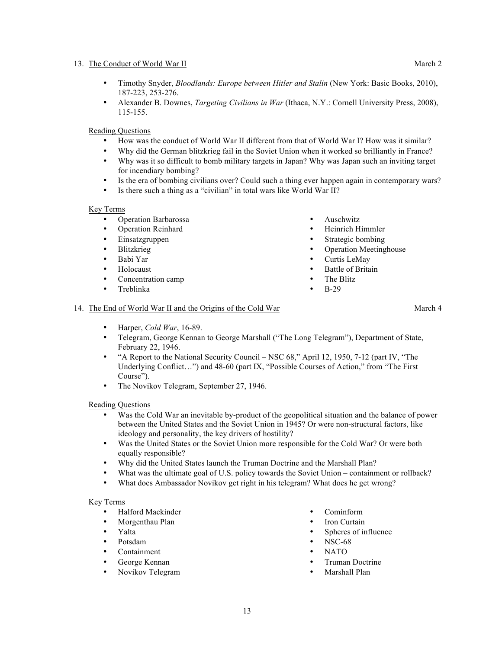## 13. The Conduct of World War II March 2 and 2 and 2 and 2 and 2 and 2 and 2 and 2 and 2 and 2 and 2 and 2 and 2 and 2 and 2 and 2 and 2 and 2 and 2 and 2 and 2 and 2 and 2 and 2 and 2 and 2 and 2 and 2 and 2 and 2 and 2 an

- Timothy Snyder, *Bloodlands: Europe between Hitler and Stalin* (New York: Basic Books, 2010), 187-223, 253-276.
- Alexander B. Downes, *Targeting Civilians in War* (Ithaca, N.Y.: Cornell University Press, 2008), 115-155.

## Reading Questions

- How was the conduct of World War II different from that of World War I? How was it similar?
- Why did the German blitzkrieg fail in the Soviet Union when it worked so brilliantly in France?
- Why was it so difficult to bomb military targets in Japan? Why was Japan such an inviting target for incendiary bombing?
- Is the era of bombing civilians over? Could such a thing ever happen again in contemporary wars?
- Is there such a thing as a "civilian" in total wars like World War II?

## Key Terms

- Operation Barbarossa<br>• Operation Reinhard
- Operation Reinhard<br>• Einsatzgruppen
- Einsatzgruppen
- Blitzkrieg
- Babi Yar
- Holocaust
- Concentration camp
- Treblinka
- Auschwitz
- Heinrich Himmler
- Strategic bombing
- Operation Meetinghouse
- Curtis LeMay
- **Battle of Britain**
- The Blitz
- B-29

## 14. The End of World War II and the Origins of the Cold War March 4

- Harper, *Cold War*, 16-89.
- Telegram, George Kennan to George Marshall ("The Long Telegram"), Department of State, February 22, 1946.
- "A Report to the National Security Council NSC 68," April 12, 1950, 7-12 (part IV, "The Underlying Conflict…") and 48-60 (part IX, "Possible Courses of Action," from "The First Course").
- The Novikov Telegram, September 27, 1946.

## Reading Questions

- Was the Cold War an inevitable by-product of the geopolitical situation and the balance of power between the United States and the Soviet Union in 1945? Or were non-structural factors, like ideology and personality, the key drivers of hostility?
- Was the United States or the Soviet Union more responsible for the Cold War? Or were both equally responsible?
- Why did the United States launch the Truman Doctrine and the Marshall Plan?
- What was the ultimate goal of U.S. policy towards the Soviet Union containment or rollback?
- What does Ambassador Novikov get right in his telegram? What does he get wrong?

- Halford Mackinder
- Morgenthau Plan
- Yalta
- Potsdam
- Containment
- George Kennan
- Novikov Telegram
- Cominform
- Iron Curtain
	- Spheres of influence
- NSC-68
- NATO
- Truman Doctrine
- Marshall Plan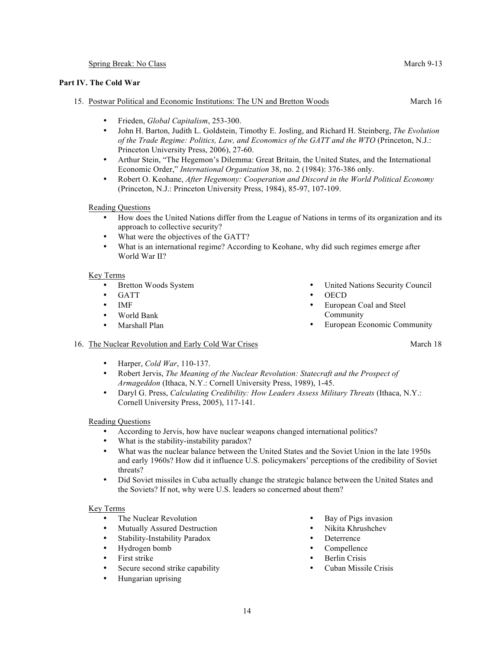## Spring Break: No Class March 9-13

## **Part IV. The Cold War**

## 15. Postwar Political and Economic Institutions: The UN and Bretton Woods March 16

- Frieden, *Global Capitalism*, 253-300.
- John H. Barton, Judith L. Goldstein, Timothy E. Josling, and Richard H. Steinberg, *The Evolution of the Trade Regime: Politics, Law, and Economics of the GATT and the WTO* (Princeton, N.J.: Princeton University Press, 2006), 27-60.
- Arthur Stein, "The Hegemon's Dilemma: Great Britain, the United States, and the International Economic Order," *International Organization* 38, no. 2 (1984): 376-386 only.
- Robert O. Keohane, *After Hegemony: Cooperation and Discord in the World Political Economy* (Princeton, N.J.: Princeton University Press, 1984), 85-97, 107-109.

Reading Questions

- How does the United Nations differ from the League of Nations in terms of its organization and its approach to collective security?
- What were the objectives of the GATT?<br>• What is an international regime? Accord
- What is an international regime? According to Keohane, why did such regimes emerge after World War II?

### Key Terms

- Bretton Woods System
- GATT
- IMF
- World Bank
- Marshall Plan
- United Nations Security Council
- OECD
- European Coal and Steel Community
- European Economic Community

## 16. The Nuclear Revolution and Early Cold War Crises March 18

- Harper, *Cold War*, 110-137.
- Robert Jervis, *The Meaning of the Nuclear Revolution: Statecraft and the Prospect of Armageddon* (Ithaca, N.Y.: Cornell University Press, 1989), 1-45.
- Daryl G. Press, *Calculating Credibility: How Leaders Assess Military Threats* (Ithaca, N.Y.: Cornell University Press, 2005), 117-141.

### Reading Questions

- According to Jervis, how have nuclear weapons changed international politics?
- What is the stability-instability paradox?
- What was the nuclear balance between the United States and the Soviet Union in the late 1950s and early 1960s? How did it influence U.S. policymakers' perceptions of the credibility of Soviet threats?
- Did Soviet missiles in Cuba actually change the strategic balance between the United States and the Soviets? If not, why were U.S. leaders so concerned about them?

- The Nuclear Revolution
- Mutually Assured Destruction
- Stability-Instability Paradox
- Hydrogen bomb
- First strike
- Secure second strike capability
- Hungarian uprising
- Bay of Pigs invasion
- Nikita Khrushchev
- **Deterrence**
- Compellence
- **Berlin Crisis**
- Cuban Missile Crisis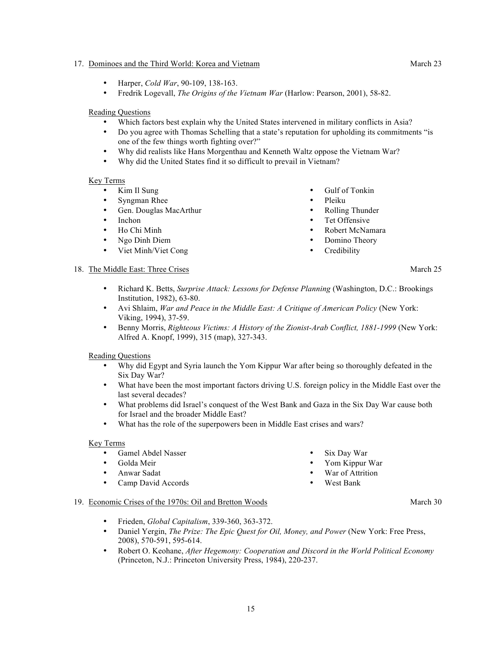## 17. Dominoes and the Third World: Korea and Vietnam March 23

- Harper, *Cold War*, 90-109, 138-163.
- Fredrik Logevall, *The Origins of the Vietnam War* (Harlow: Pearson, 2001), 58-82.

## Reading Questions

- Which factors best explain why the United States intervened in military conflicts in Asia?
- Do you agree with Thomas Schelling that a state's reputation for upholding its commitments "is one of the few things worth fighting over?"
- Why did realists like Hans Morgenthau and Kenneth Waltz oppose the Vietnam War?
- Why did the United States find it so difficult to prevail in Vietnam?

### Key Terms

- Kim Il Sung
- Syngman Rhee
- Gen. Douglas MacArthur<br>• Inchon
- Inchon<br>• Ho Chi
- Ho Chi Minh
- Ngo Dinh Diem
- Viet Minh/Viet Cong
- Gulf of Tonkin
- Pleiku
- Rolling Thunder
- Tet Offensive
- Robert McNamara
- Domino Theory
- **Credibility**

# 18. The Middle East: Three Crises March 25

- Richard K. Betts, *Surprise Attack: Lessons for Defense Planning* (Washington, D.C.: Brookings Institution, 1982), 63-80.
- Avi Shlaim, *War and Peace in the Middle East: A Critique of American Policy* (New York: Viking, 1994), 37-59.
- Benny Morris, *Righteous Victims: A History of the Zionist-Arab Conflict, 1881-1999* (New York: Alfred A. Knopf, 1999), 315 (map), 327-343.

## Reading Questions

- Why did Egypt and Syria launch the Yom Kippur War after being so thoroughly defeated in the Six Day War?
- What have been the most important factors driving U.S. foreign policy in the Middle East over the last several decades?
- What problems did Israel's conquest of the West Bank and Gaza in the Six Day War cause both for Israel and the broader Middle East?
- What has the role of the superpowers been in Middle East crises and wars?

### Key Terms

- Gamel Abdel Nasser
- Golda Meir
- Anwar Sadat
- Camp David Accords
- Six Day War
- Yom Kippur War
- War of Attrition
- West Bank

### 19. Economic Crises of the 1970s: Oil and Bretton Woods March 30

- Frieden, *Global Capitalism*, 339-360, 363-372.
- Daniel Yergin, *The Prize: The Epic Quest for Oil, Money, and Power* (New York: Free Press, 2008), 570-591, 595-614.
- Robert O. Keohane, *After Hegemony: Cooperation and Discord in the World Political Economy* (Princeton, N.J.: Princeton University Press, 1984), 220-237.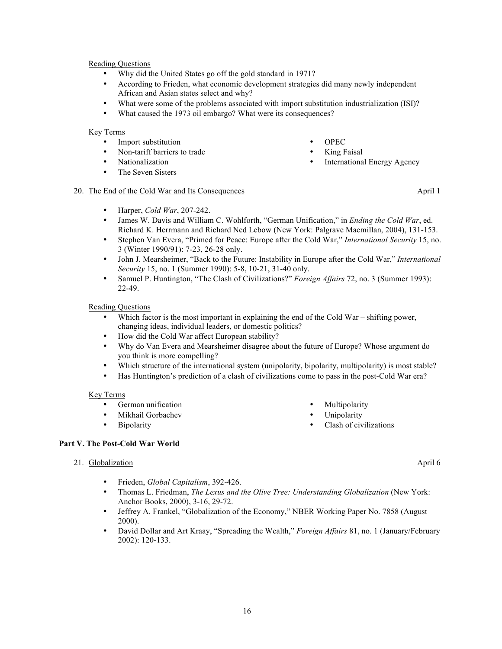- Why did the United States go off the gold standard in 1971?
- According to Frieden, what economic development strategies did many newly independent African and Asian states select and why?
- What were some of the problems associated with import substitution industrialization (ISI)?
- What caused the 1973 oil embargo? What were its consequences?

### Key Terms

- Import substitution
- Non-tariff barriers to trade<br>• Nationalization
- Nationalization
- The Seven Sisters

## 20. The End of the Cold War and Its Consequences April 1

- Harper, *Cold War*, 207-242.
- James W. Davis and William C. Wohlforth, "German Unification," in *Ending the Cold War*, ed. Richard K. Herrmann and Richard Ned Lebow (New York: Palgrave Macmillan, 2004), 131-153.
- Stephen Van Evera, "Primed for Peace: Europe after the Cold War," *International Security* 15, no. 3 (Winter 1990/91): 7-23, 26-28 only.
- John J. Mearsheimer, "Back to the Future: Instability in Europe after the Cold War," *International Security* 15, no. 1 (Summer 1990): 5-8, 10-21, 31-40 only.
- Samuel P. Huntington, "The Clash of Civilizations?" *Foreign Affairs* 72, no. 3 (Summer 1993): 22-49.

## Reading Questions

- Which factor is the most important in explaining the end of the Cold War shifting power, changing ideas, individual leaders, or domestic politics?
- How did the Cold War affect European stability?
- Why do Van Evera and Mearsheimer disagree about the future of Europe? Whose argument do you think is more compelling?
- Which structure of the international system (unipolarity, bipolarity, multipolarity) is most stable?
- Has Huntington's prediction of a clash of civilizations come to pass in the post-Cold War era?

### Key Terms

- German unification
- Mikhail Gorbachev
- Bipolarity

## **Part V. The Post-Cold War World**

### 21. Globalization **April 6**

- Frieden, *Global Capitalism*, 392-426.
- Thomas L. Friedman, *The Lexus and the Olive Tree: Understanding Globalization* (New York: Anchor Books, 2000), 3-16, 29-72.
- Jeffrey A. Frankel, "Globalization of the Economy," NBER Working Paper No. 7858 (August 2000).
- David Dollar and Art Kraay, "Spreading the Wealth," *Foreign Affairs* 81, no. 1 (January/February 2002): 120-133.

International Energy Agency

• OPEC **King Faisal** 

**Multipolarity Unipolarity** 

Clash of civilizations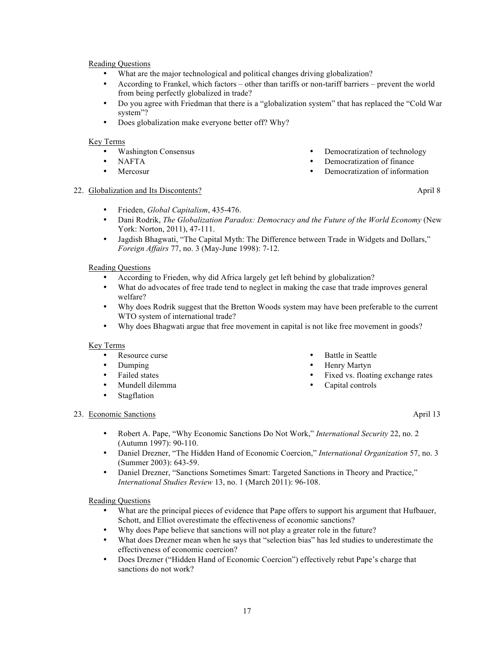- What are the major technological and political changes driving globalization?
- According to Frankel, which factors other than tariffs or non-tariff barriers prevent the world from being perfectly globalized in trade?
- Do you agree with Friedman that there is a "globalization system" that has replaced the "Cold War system"?
- Does globalization make everyone better off? Why?

## Key Terms

- Washington Consensus
- NAFTA
- **Mercosur**
- Democratization of technology
- Democratization of finance

Battle in Seattle • Henry Martyn

Capital controls

Fixed vs. floating exchange rates

• Democratization of information

## 22. Globalization and Its Discontents? April 8

- Frieden, *Global Capitalism*, 435-476.
- Dani Rodrik, *The Globalization Paradox: Democracy and the Future of the World Economy* (New York: Norton, 2011), 47-111.
- Jagdish Bhagwati, "The Capital Myth: The Difference between Trade in Widgets and Dollars," *Foreign Affairs* 77, no. 3 (May-June 1998): 7-12.

## Reading Questions

- According to Frieden, why did Africa largely get left behind by globalization?
- What do advocates of free trade tend to neglect in making the case that trade improves general welfare?
- Why does Rodrik suggest that the Bretton Woods system may have been preferable to the current WTO system of international trade?
- Why does Bhagwati argue that free movement in capital is not like free movement in goods?

### Key Terms

- Resource curse
- Dumping
- Failed states
- Mundell dilemma
- Stagflation

## 23. Economic Sanctions **April 13**

- Robert A. Pape, "Why Economic Sanctions Do Not Work," *International Security* 22, no. 2 (Autumn 1997): 90-110.
- Daniel Drezner, "The Hidden Hand of Economic Coercion," *International Organization* 57, no. 3 (Summer 2003): 643-59.
- Daniel Drezner, "Sanctions Sometimes Smart: Targeted Sanctions in Theory and Practice," *International Studies Review* 13, no. 1 (March 2011): 96-108.

### Reading Questions

- What are the principal pieces of evidence that Pape offers to support his argument that Hufbauer, Schott, and Elliot overestimate the effectiveness of economic sanctions?
- Why does Pape believe that sanctions will not play a greater role in the future?<br>• What does Drezner mean when he says that "selection bias" has led studies to u
- What does Drezner mean when he says that "selection bias" has led studies to underestimate the effectiveness of economic coercion?
- Does Drezner ("Hidden Hand of Economic Coercion") effectively rebut Pape's charge that sanctions do not work?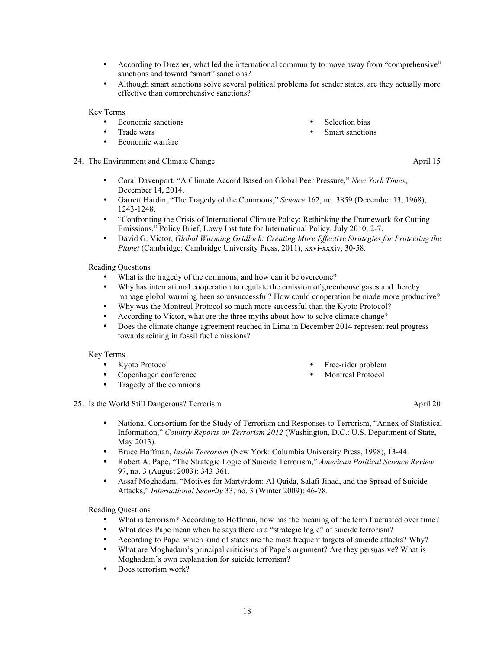- According to Drezner, what led the international community to move away from "comprehensive" sanctions and toward "smart" sanctions?
- Although smart sanctions solve several political problems for sender states, are they actually more effective than comprehensive sanctions?

## Key Terms

- Economic sanctions
- Trade wars
- Economic warfare

## 24. The Environment and Climate Change and April 15

- Coral Davenport, "A Climate Accord Based on Global Peer Pressure," *New York Times*, December 14, 2014.
- Garrett Hardin, "The Tragedy of the Commons," *Science* 162, no. 3859 (December 13, 1968), 1243-1248.
- "Confronting the Crisis of International Climate Policy: Rethinking the Framework for Cutting Emissions," Policy Brief, Lowy Institute for International Policy, July 2010, 2-7.
- David G. Victor, *Global Warming Gridlock: Creating More Effective Strategies for Protecting the Planet* (Cambridge: Cambridge University Press, 2011), xxvi-xxxiv, 30-58.

### Reading Questions

- What is the tragedy of the commons, and how can it be overcome?
- Why has international cooperation to regulate the emission of greenhouse gases and thereby manage global warming been so unsuccessful? How could cooperation be made more productive?
- Why was the Montreal Protocol so much more successful than the Kyoto Protocol?
- According to Victor, what are the three myths about how to solve climate change?
- Does the climate change agreement reached in Lima in December 2014 represent real progress towards reining in fossil fuel emissions?

## Key Terms

- Kyoto Protocol
- Copenhagen conference<br>• Tragedy of the commons
- Tragedy of the commons

### 25. Is the World Still Dangerous? Terrorism and the Material Still 20 April 20

- National Consortium for the Study of Terrorism and Responses to Terrorism, "Annex of Statistical Information," *Country Reports on Terrorism 2012* (Washington, D.C.: U.S. Department of State, May 2013).
- Bruce Hoffman, *Inside Terrorism* (New York: Columbia University Press, 1998), 13-44.
- Robert A. Pape, "The Strategic Logic of Suicide Terrorism," *American Political Science Review* 97, no. 3 (August 2003): 343-361.
- Assaf Moghadam, "Motives for Martyrdom: Al-Qaida, Salafi Jihad, and the Spread of Suicide Attacks," *International Security* 33, no. 3 (Winter 2009): 46-78.

### Reading Questions

- What is terrorism? According to Hoffman, how has the meaning of the term fluctuated over time?
- What does Pape mean when he says there is a "strategic logic" of suicide terrorism?
- According to Pape, which kind of states are the most frequent targets of suicide attacks? Why?
- What are Moghadam's principal criticisms of Pape's argument? Are they persuasive? What is Moghadam's own explanation for suicide terrorism?
- Does terrorism work?
- Selection bias
- Smart sanctions

Free-rider problem Montreal Protocol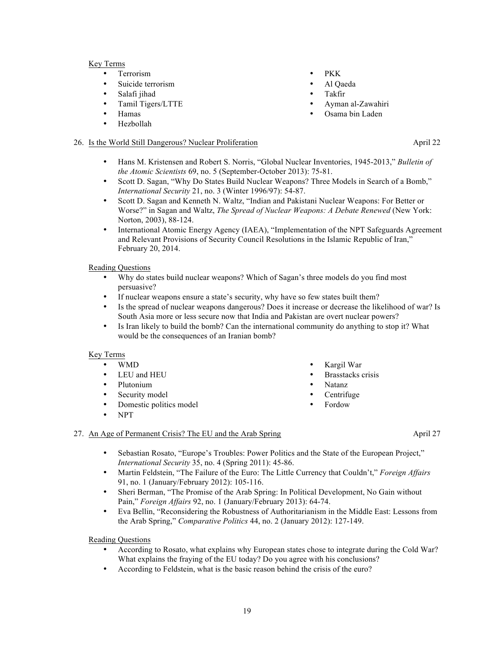## Key Terms

- Terrorism
- Suicide terrorism
- Salafi jihad
- Tamil Tigers/LTTE
- Hamas
- Hezbollah

## 26. Is the World Still Dangerous? Nuclear Proliferation April 22

- Hans M. Kristensen and Robert S. Norris, "Global Nuclear Inventories, 1945-2013," *Bulletin of the Atomic Scientists* 69, no. 5 (September-October 2013): 75-81.
- Scott D. Sagan, "Why Do States Build Nuclear Weapons? Three Models in Search of a Bomb," *International Security* 21, no. 3 (Winter 1996/97): 54-87.
- Scott D. Sagan and Kenneth N. Waltz, "Indian and Pakistani Nuclear Weapons: For Better or Worse?" in Sagan and Waltz, *The Spread of Nuclear Weapons: A Debate Renewed* (New York: Norton, 2003), 88-124.
- International Atomic Energy Agency (IAEA), "Implementation of the NPT Safeguards Agreement and Relevant Provisions of Security Council Resolutions in the Islamic Republic of Iran," February 20, 2014.

### Reading Questions

- Why do states build nuclear weapons? Which of Sagan's three models do you find most persuasive?
- If nuclear weapons ensure a state's security, why have so few states built them?
- Is the spread of nuclear weapons dangerous? Does it increase or decrease the likelihood of war? Is South Asia more or less secure now that India and Pakistan are overt nuclear powers?
- Is Iran likely to build the bomb? Can the international community do anything to stop it? What would be the consequences of an Iranian bomb?

### Key Terms

- WMD
- LEU and HEU
- Plutonium
- Security model
- Domestic politics model
- NPT

## 27. An Age of Permanent Crisis? The EU and the Arab Spring April 27

- Sebastian Rosato, "Europe's Troubles: Power Politics and the State of the European Project," *International Security* 35, no. 4 (Spring 2011): 45-86.
- Martin Feldstein, "The Failure of the Euro: The Little Currency that Couldn't," *Foreign Affairs* 91, no. 1 (January/February 2012): 105-116.
- Sheri Berman, "The Promise of the Arab Spring: In Political Development, No Gain without Pain," *Foreign Affairs* 92, no. 1 (January/February 2013): 64-74.
- Eva Bellin, "Reconsidering the Robustness of Authoritarianism in the Middle East: Lessons from the Arab Spring," *Comparative Politics* 44, no. 2 (January 2012): 127-149.

### Reading Questions

- According to Rosato, what explains why European states chose to integrate during the Cold War? What explains the fraying of the EU today? Do you agree with his conclusions?
- According to Feldstein, what is the basic reason behind the crisis of the euro?
- PKK
- Al Qaeda
	- Takfir
	- Ayman al-Zawahiri
- Osama bin Laden

• Kargil War • Brasstacks crisis

• Natanz • Centrifuge • Fordow